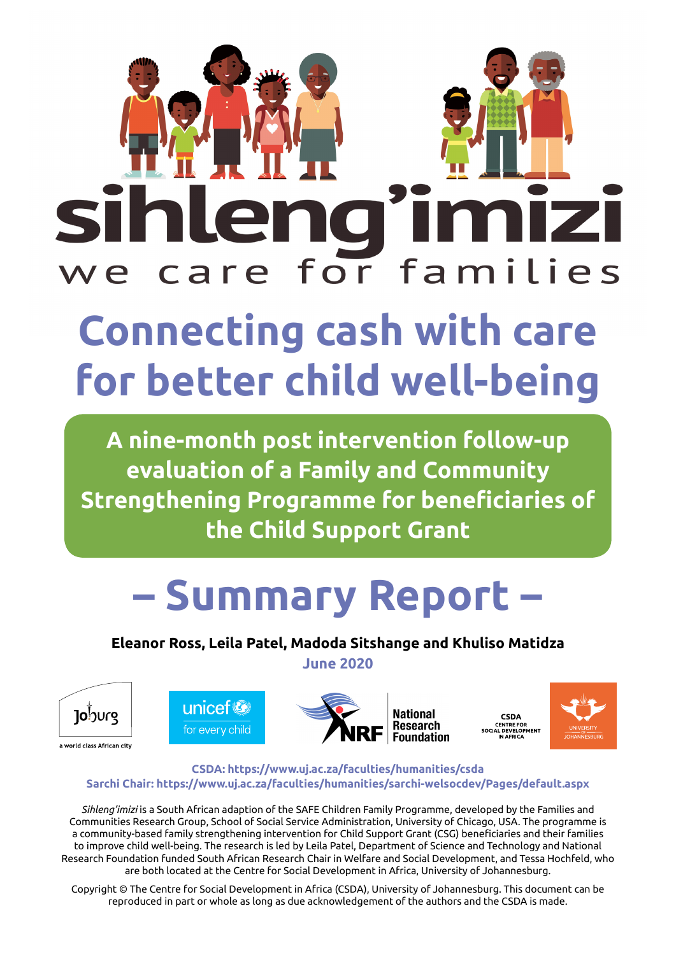

# **Connecting cash with care for better child well-being**

**A nine-month post intervention follow-up evaluation of a Family and Community Strengthening Programme for beneficiaries of the Child Support Grant**

# **– Summary Report –**

**Eleanor Ross, Leila Patel, Madoda Sitshange and Khuliso Matidza**

**June 2020**







**CSDA** CODA<br>CENTRE FOR<br>AL DEVELOPMENT<br>IN AFRICA

#### **CSDA: <https://www.uj.ac.za/faculties/humanities/csda> Sarchi Chair: <https://www.uj.ac.za/faculties/humanities/sarchi-welsocdev/Pages/default.aspx>**

*Sihleng'imizi* is a South African adaption of the SAFE Children Family Programme, developed by the Families and Communities Research Group, School of Social Service Administration, University of Chicago, USA. The programme is a community-based family strengthening intervention for Child Support Grant (CSG) beneficiaries and their families to improve child well-being. The research is led by Leila Patel, Department of Science and Technology and National Research Foundation funded South African Research Chair in Welfare and Social Development, and Tessa Hochfeld, who are both located at the Centre for Social Development in Africa, University of Johannesburg.

Copyright © The Centre for Social Development in Africa (CSDA), University of Johannesburg. This document can be reproduced in part or whole as long as due acknowledgement of the authors and the CSDA is made.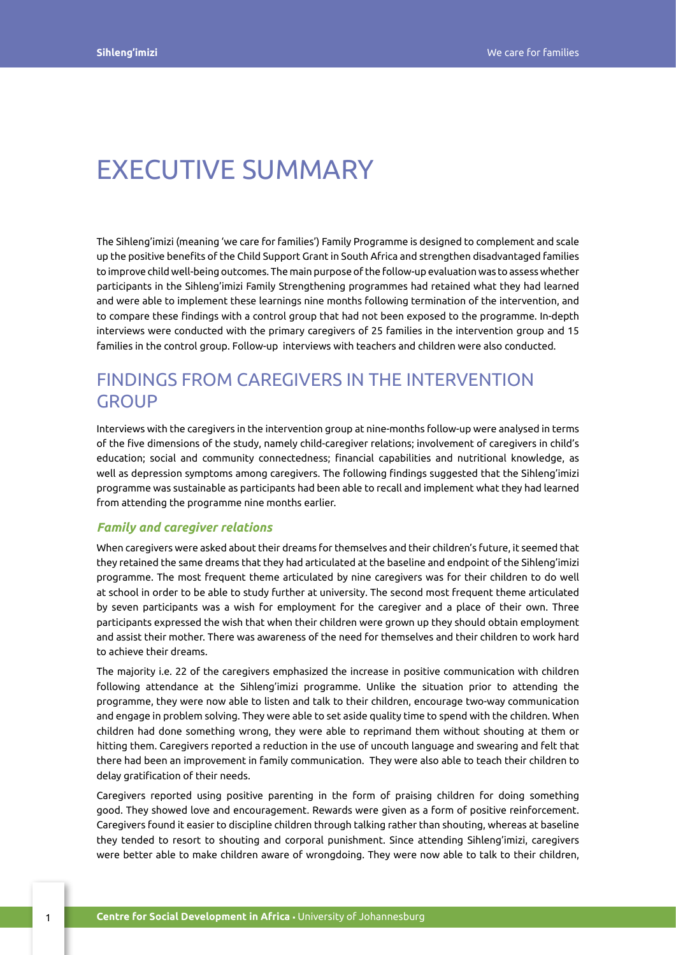## EXECUTIVE SUMMARY

The Sihleng'imizi (meaning 'we care for families') Family Programme is designed to complement and scale up the positive benefits of the Child Support Grant in South Africa and strengthen disadvantaged families to improve child well-being outcomes. The main purpose of the follow-up evaluation was to assess whether participants in the Sihleng'imizi Family Strengthening programmes had retained what they had learned and were able to implement these learnings nine months following termination of the intervention, and to compare these findings with a control group that had not been exposed to the programme. In-depth interviews were conducted with the primary caregivers of 25 families in the intervention group and 15 families in the control group. Follow-up interviews with teachers and children were also conducted.

## FINDINGS FROM CAREGIVERS IN THE INTERVENTION **GROUP**

Interviews with the caregivers in the intervention group at nine-months follow-up were analysed in terms of the five dimensions of the study, namely child-caregiver relations; involvement of caregivers in child's education; social and community connectedness; financial capabilities and nutritional knowledge, as well as depression symptoms among caregivers. The following findings suggested that the Sihleng'imizi programme was sustainable as participants had been able to recall and implement what they had learned from attending the programme nine months earlier.

#### *Family and caregiver relations*

When caregivers were asked about their dreams for themselves and their children's future, it seemed that they retained the same dreams that they had articulated at the baseline and endpoint of the Sihleng'imizi programme. The most frequent theme articulated by nine caregivers was for their children to do well at school in order to be able to study further at university. The second most frequent theme articulated by seven participants was a wish for employment for the caregiver and a place of their own. Three participants expressed the wish that when their children were grown up they should obtain employment and assist their mother. There was awareness of the need for themselves and their children to work hard to achieve their dreams.

The majority i.e. 22 of the caregivers emphasized the increase in positive communication with children following attendance at the Sihleng'imizi programme. Unlike the situation prior to attending the programme, they were now able to listen and talk to their children, encourage two-way communication and engage in problem solving. They were able to set aside quality time to spend with the children. When children had done something wrong, they were able to reprimand them without shouting at them or hitting them. Caregivers reported a reduction in the use of uncouth language and swearing and felt that there had been an improvement in family communication. They were also able to teach their children to delay gratification of their needs.

Caregivers reported using positive parenting in the form of praising children for doing something good. They showed love and encouragement. Rewards were given as a form of positive reinforcement. Caregivers found it easier to discipline children through talking rather than shouting, whereas at baseline they tended to resort to shouting and corporal punishment. Since attending Sihleng'imizi, caregivers were better able to make children aware of wrongdoing. They were now able to talk to their children,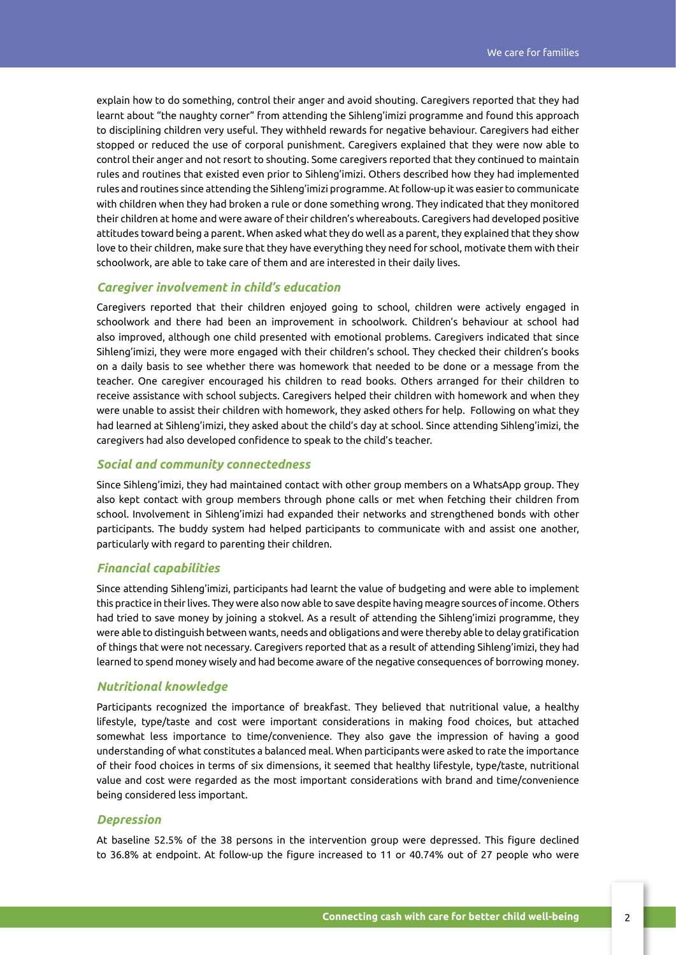explain how to do something, control their anger and avoid shouting. Caregivers reported that they had learnt about "the naughty corner" from attending the Sihleng'imizi programme and found this approach to disciplining children very useful. They withheld rewards for negative behaviour. Caregivers had either stopped or reduced the use of corporal punishment. Caregivers explained that they were now able to control their anger and not resort to shouting. Some caregivers reported that they continued to maintain rules and routines that existed even prior to Sihleng'imizi. Others described how they had implemented rules and routines since attending the Sihleng'imizi programme. At follow-up it was easier to communicate with children when they had broken a rule or done something wrong. They indicated that they monitored their children at home and were aware of their children's whereabouts. Caregivers had developed positive attitudes toward being a parent. When asked what they do well as a parent, they explained that they show love to their children, make sure that they have everything they need for school, motivate them with their schoolwork, are able to take care of them and are interested in their daily lives.

#### *Caregiver involvement in child's education*

Caregivers reported that their children enjoyed going to school, children were actively engaged in schoolwork and there had been an improvement in schoolwork. Children's behaviour at school had also improved, although one child presented with emotional problems. Caregivers indicated that since Sihleng'imizi, they were more engaged with their children's school. They checked their children's books on a daily basis to see whether there was homework that needed to be done or a message from the teacher. One caregiver encouraged his children to read books. Others arranged for their children to receive assistance with school subjects. Caregivers helped their children with homework and when they were unable to assist their children with homework, they asked others for help. Following on what they had learned at Sihleng'imizi, they asked about the child's day at school. Since attending Sihleng'imizi, the caregivers had also developed confidence to speak to the child's teacher.

#### *Social and community connectedness*

Since Sihleng'imizi, they had maintained contact with other group members on a WhatsApp group. They also kept contact with group members through phone calls or met when fetching their children from school. Involvement in Sihleng'imizi had expanded their networks and strengthened bonds with other participants. The buddy system had helped participants to communicate with and assist one another, particularly with regard to parenting their children.

#### *Financial capabilities*

Since attending Sihleng'imizi, participants had learnt the value of budgeting and were able to implement this practice in their lives. They were also now able to save despite having meagre sources of income. Others had tried to save money by joining a stokvel. As a result of attending the Sihleng'imizi programme, they were able to distinguish between wants, needs and obligations and were thereby able to delay gratification of things that were not necessary. Caregivers reported that as a result of attending Sihleng'imizi, they had learned to spend money wisely and had become aware of the negative consequences of borrowing money.

#### *Nutritional knowledge*

Participants recognized the importance of breakfast. They believed that nutritional value, a healthy lifestyle, type/taste and cost were important considerations in making food choices, but attached somewhat less importance to time/convenience. They also gave the impression of having a good understanding of what constitutes a balanced meal. When participants were asked to rate the importance of their food choices in terms of six dimensions, it seemed that healthy lifestyle, type/taste, nutritional value and cost were regarded as the most important considerations with brand and time/convenience being considered less important.

#### *Depression*

At baseline 52.5% of the 38 persons in the intervention group were depressed. This figure declined to 36.8% at endpoint. At follow-up the figure increased to 11 or 40.74% out of 27 people who were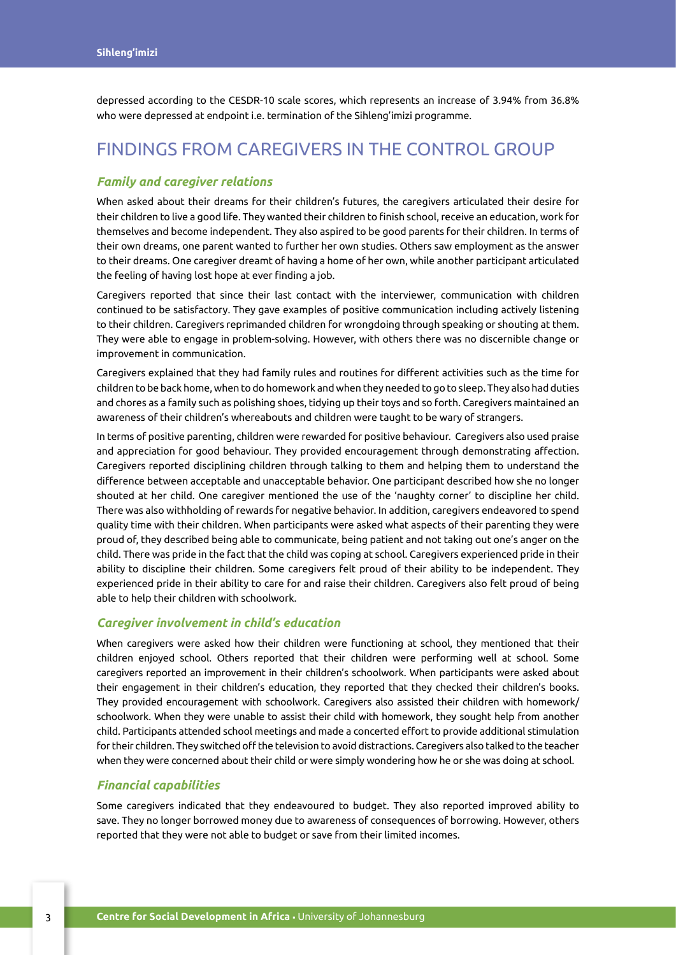depressed according to the CESDR-10 scale scores, which represents an increase of 3.94% from 36.8% who were depressed at endpoint i.e. termination of the Sihleng'imizi programme.

### FINDINGS FROM CAREGIVERS IN THE CONTROL GROUP

#### *Family and caregiver relations*

When asked about their dreams for their children's futures, the caregivers articulated their desire for their children to live a good life. They wanted their children to finish school, receive an education, work for themselves and become independent. They also aspired to be good parents for their children. In terms of their own dreams, one parent wanted to further her own studies. Others saw employment as the answer to their dreams. One caregiver dreamt of having a home of her own, while another participant articulated the feeling of having lost hope at ever finding a job.

Caregivers reported that since their last contact with the interviewer, communication with children continued to be satisfactory. They gave examples of positive communication including actively listening to their children. Caregivers reprimanded children for wrongdoing through speaking or shouting at them. They were able to engage in problem-solving. However, with others there was no discernible change or improvement in communication.

Caregivers explained that they had family rules and routines for different activities such as the time for children to be back home, when to do homework and when they needed to go to sleep. They also had duties and chores as a family such as polishing shoes, tidying up their toys and so forth. Caregivers maintained an awareness of their children's whereabouts and children were taught to be wary of strangers.

In terms of positive parenting, children were rewarded for positive behaviour. Caregivers also used praise and appreciation for good behaviour. They provided encouragement through demonstrating affection. Caregivers reported disciplining children through talking to them and helping them to understand the difference between acceptable and unacceptable behavior. One participant described how she no longer shouted at her child. One caregiver mentioned the use of the 'naughty corner' to discipline her child. There was also withholding of rewards for negative behavior. In addition, caregivers endeavored to spend quality time with their children. When participants were asked what aspects of their parenting they were proud of, they described being able to communicate, being patient and not taking out one's anger on the child. There was pride in the fact that the child was coping at school. Caregivers experienced pride in their ability to discipline their children. Some caregivers felt proud of their ability to be independent. They experienced pride in their ability to care for and raise their children. Caregivers also felt proud of being able to help their children with schoolwork.

#### *Caregiver involvement in child's education*

When caregivers were asked how their children were functioning at school, they mentioned that their children enjoyed school. Others reported that their children were performing well at school. Some caregivers reported an improvement in their children's schoolwork. When participants were asked about their engagement in their children's education, they reported that they checked their children's books. They provided encouragement with schoolwork. Caregivers also assisted their children with homework/ schoolwork. When they were unable to assist their child with homework, they sought help from another child. Participants attended school meetings and made a concerted effort to provide additional stimulation for their children. They switched off the television to avoid distractions. Caregivers also talked to the teacher when they were concerned about their child or were simply wondering how he or she was doing at school.

#### *Financial capabilities*

Some caregivers indicated that they endeavoured to budget. They also reported improved ability to save. They no longer borrowed money due to awareness of consequences of borrowing. However, others reported that they were not able to budget or save from their limited incomes.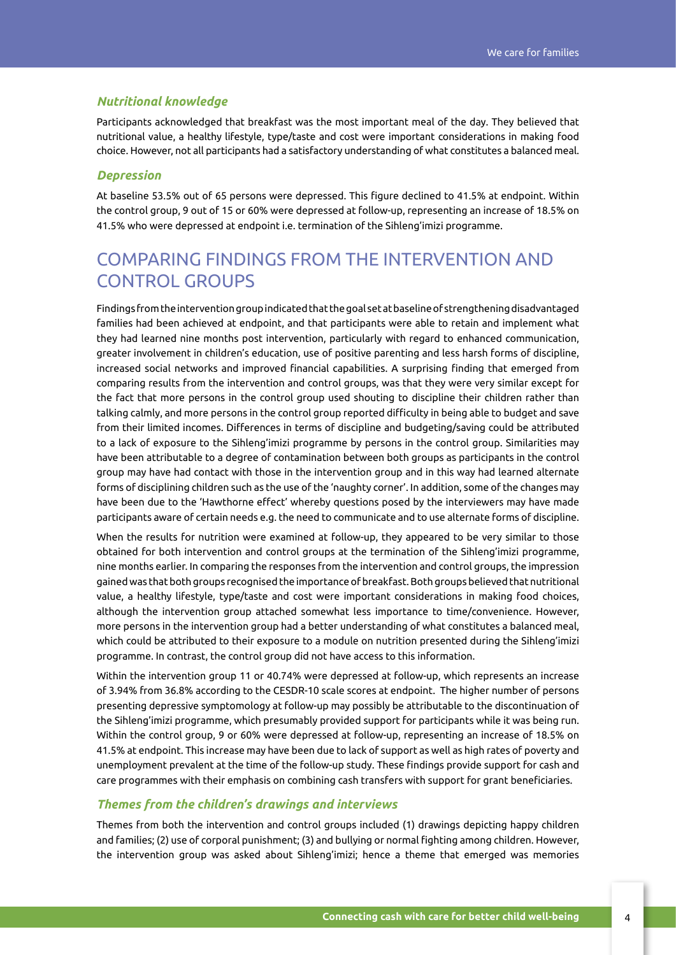#### *Nutritional knowledge*

Participants acknowledged that breakfast was the most important meal of the day. They believed that nutritional value, a healthy lifestyle, type/taste and cost were important considerations in making food choice. However, not all participants had a satisfactory understanding of what constitutes a balanced meal.

#### *Depression*

At baseline 53.5% out of 65 persons were depressed. This figure declined to 41.5% at endpoint. Within the control group, 9 out of 15 or 60% were depressed at follow-up, representing an increase of 18.5% on 41.5% who were depressed at endpoint i.e. termination of the Sihleng'imizi programme.

## COMPARING FINDINGS FROM THE INTERVENTION AND CONTROL GROUPS

Findings from the intervention group indicated that the goal set at baseline of strengthening disadvantaged families had been achieved at endpoint, and that participants were able to retain and implement what they had learned nine months post intervention, particularly with regard to enhanced communication, greater involvement in children's education, use of positive parenting and less harsh forms of discipline, increased social networks and improved financial capabilities. A surprising finding that emerged from comparing results from the intervention and control groups, was that they were very similar except for the fact that more persons in the control group used shouting to discipline their children rather than talking calmly, and more persons in the control group reported difficulty in being able to budget and save from their limited incomes. Differences in terms of discipline and budgeting/saving could be attributed to a lack of exposure to the Sihleng'imizi programme by persons in the control group. Similarities may have been attributable to a degree of contamination between both groups as participants in the control group may have had contact with those in the intervention group and in this way had learned alternate forms of disciplining children such as the use of the 'naughty corner'. In addition, some of the changes may have been due to the 'Hawthorne effect' whereby questions posed by the interviewers may have made participants aware of certain needs e.g. the need to communicate and to use alternate forms of discipline.

When the results for nutrition were examined at follow-up, they appeared to be very similar to those obtained for both intervention and control groups at the termination of the Sihleng'imizi programme, nine months earlier. In comparing the responses from the intervention and control groups, the impression gained was that both groups recognised the importance of breakfast. Both groups believed that nutritional value, a healthy lifestyle, type/taste and cost were important considerations in making food choices, although the intervention group attached somewhat less importance to time/convenience. However, more persons in the intervention group had a better understanding of what constitutes a balanced meal, which could be attributed to their exposure to a module on nutrition presented during the Sihleng'imizi programme. In contrast, the control group did not have access to this information.

Within the intervention group 11 or 40.74% were depressed at follow-up, which represents an increase of 3.94% from 36.8% according to the CESDR-10 scale scores at endpoint. The higher number of persons presenting depressive symptomology at follow-up may possibly be attributable to the discontinuation of the Sihleng'imizi programme, which presumably provided support for participants while it was being run. Within the control group, 9 or 60% were depressed at follow-up, representing an increase of 18.5% on 41.5% at endpoint. This increase may have been due to lack of support as well as high rates of poverty and unemployment prevalent at the time of the follow-up study. These findings provide support for cash and care programmes with their emphasis on combining cash transfers with support for grant beneficiaries.

#### *Themes from the children's drawings and interviews*

Themes from both the intervention and control groups included (1) drawings depicting happy children and families; (2) use of corporal punishment; (3) and bullying or normal fighting among children. However, the intervention group was asked about Sihleng'imizi; hence a theme that emerged was memories